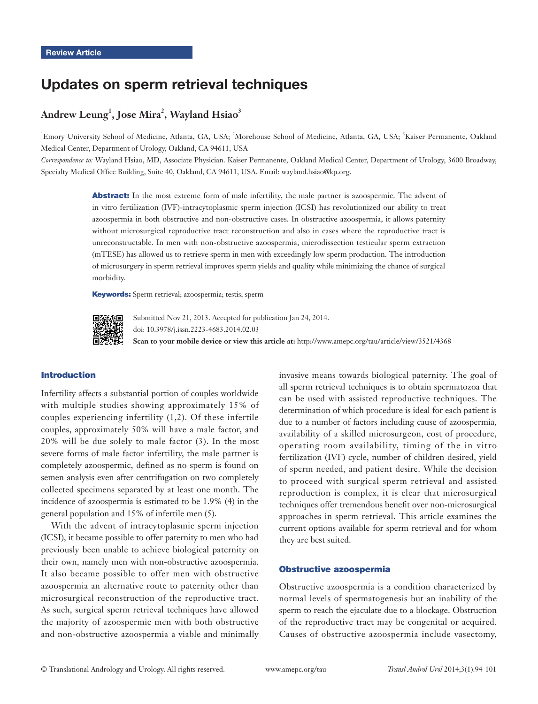# Updates on sperm retrieval techniques

# $\mathbf{Andrew}\ \mathbf{Leung}^1, \mathbf{Jose}\ \mathbf{Mira}^2, \mathbf{Wayland}\ \mathbf{Hsiao}^3$

<sup>1</sup>Emory University School of Medicine, Atlanta, GA, USA; <sup>2</sup>Morehouse School of Medicine, Atlanta, GA, USA; <sup>3</sup>Kaiser Permanente, Oakland Medical Center, Department of Urology, Oakland, CA 94611, USA

*Correspondence to:* Wayland Hsiao, MD, Associate Physician. Kaiser Permanente, Oakland Medical Center, Department of Urology, 3600 Broadway, Specialty Medical Office Building, Suite 40, Oakland, CA 94611, USA. Email: wayland.hsiao@kp.org.

> Abstract: In the most extreme form of male infertility, the male partner is azoospermic. The advent of in vitro fertilization (IVF)-intracytoplasmic sperm injection (ICSI) has revolutionized our ability to treat azoospermia in both obstructive and non-obstructive cases. In obstructive azoospermia, it allows paternity without microsurgical reproductive tract reconstruction and also in cases where the reproductive tract is unreconstructable. In men with non-obstructive azoospermia, microdissection testicular sperm extraction (mTESE) has allowed us to retrieve sperm in men with exceedingly low sperm production. The introduction of microsurgery in sperm retrieval improves sperm yields and quality while minimizing the chance of surgical morbidity.

Keywords: Sperm retrieval; azoospermia; testis; sperm



Submitted Nov 21, 2013. Accepted for publication Jan 24, 2014. doi: 10.3978/j.issn.2223-4683.2014.02.03 **Scan to your mobile device or view this article at:** http://www.amepc.org/tau/article/view/3521/4368

# Introduction

Infertility affects a substantial portion of couples worldwide with multiple studies showing approximately 15% of couples experiencing infertility (1,2). Of these infertile couples, approximately 50% will have a male factor, and 20% will be due solely to male factor (3). In the most severe forms of male factor infertility, the male partner is completely azoospermic, defined as no sperm is found on semen analysis even after centrifugation on two completely collected specimens separated by at least one month. The incidence of azoospermia is estimated to be 1.9% (4) in the general population and 15% of infertile men (5).

With the advent of intracytoplasmic sperm injection (ICSI), it became possible to offer paternity to men who had previously been unable to achieve biological paternity on their own, namely men with non-obstructive azoospermia. It also became possible to offer men with obstructive azoospermia an alternative route to paternity other than microsurgical reconstruction of the reproductive tract. As such, surgical sperm retrieval techniques have allowed the majority of azoospermic men with both obstructive and non-obstructive azoospermia a viable and minimally invasive means towards biological paternity. The goal of all sperm retrieval techniques is to obtain spermatozoa that can be used with assisted reproductive techniques. The determination of which procedure is ideal for each patient is due to a number of factors including cause of azoospermia, availability of a skilled microsurgeon, cost of procedure, operating room availability, timing of the in vitro fertilization (IVF) cycle, number of children desired, yield of sperm needed, and patient desire. While the decision to proceed with surgical sperm retrieval and assisted reproduction is complex, it is clear that microsurgical techniques offer tremendous benefit over non-microsurgical approaches in sperm retrieval. This article examines the current options available for sperm retrieval and for whom they are best suited.

#### Obstructive azoospermia

Obstructive azoospermia is a condition characterized by normal levels of spermatogenesis but an inability of the sperm to reach the ejaculate due to a blockage. Obstruction of the reproductive tract may be congenital or acquired. Causes of obstructive azoospermia include vasectomy,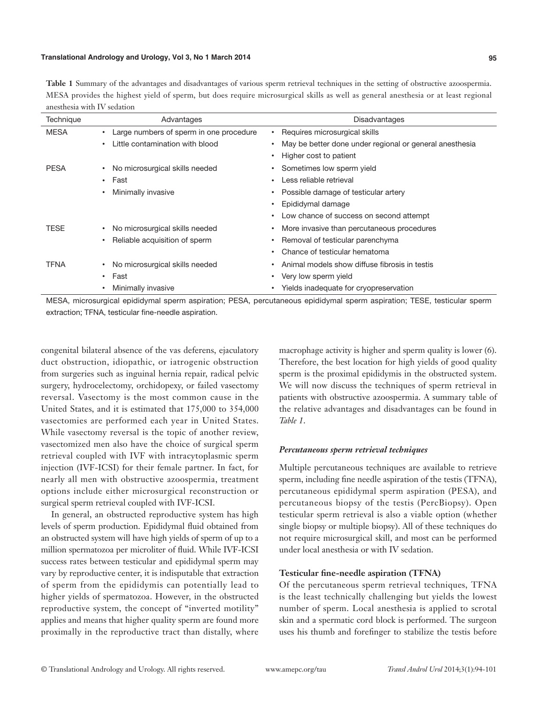**Table 1** Summary of the advantages and disadvantages of various sperm retrieval techniques in the setting of obstructive azoospermia. MESA provides the highest yield of sperm, but does require microsurgical skills as well as general anesthesia or at least regional anesthesia with IV sedation

| Technique   | Advantages                              | Disadvantages                                           |
|-------------|-----------------------------------------|---------------------------------------------------------|
| <b>MESA</b> | Large numbers of sperm in one procedure | Requires microsurgical skills                           |
|             | Little contamination with blood         | May be better done under regional or general anesthesia |
|             |                                         | Higher cost to patient                                  |
| <b>PESA</b> | No microsurgical skills needed          | Sometimes low sperm yield                               |
|             | $\cdot$ Fast                            | Less reliable retrieval                                 |
|             | Minimally invasive                      | Possible damage of testicular artery                    |
|             |                                         | Epididymal damage                                       |
|             |                                         | Low chance of success on second attempt                 |
| <b>TESE</b> | No microsurgical skills needed          | More invasive than percutaneous procedures              |
|             | Reliable acquisition of sperm           | Removal of testicular parenchyma                        |
|             |                                         | Chance of testicular hematoma<br>٠                      |
| <b>TFNA</b> | No microsurgical skills needed          | Animal models show diffuse fibrosis in testis           |
|             | Fast<br>$\bullet$                       | Very low sperm yield                                    |
|             | Minimally invasive                      | Yields inadequate for cryopreservation                  |
|             |                                         |                                                         |

MESA, microsurgical epididymal sperm aspiration; PESA, percutaneous epididymal sperm aspiration; TESE, testicular sperm extraction; TFNA, testicular fine-needle aspiration.

congenital bilateral absence of the vas deferens, ejaculatory duct obstruction, idiopathic, or iatrogenic obstruction from surgeries such as inguinal hernia repair, radical pelvic surgery, hydrocelectomy, orchidopexy, or failed vasectomy reversal. Vasectomy is the most common cause in the United States, and it is estimated that 175,000 to 354,000 vasectomies are performed each year in United States. While vasectomy reversal is the topic of another review, vasectomized men also have the choice of surgical sperm retrieval coupled with IVF with intracytoplasmic sperm injection (IVF-ICSI) for their female partner. In fact, for nearly all men with obstructive azoospermia, treatment options include either microsurgical reconstruction or surgical sperm retrieval coupled with IVF-ICSI.

In general, an obstructed reproductive system has high levels of sperm production. Epididymal fluid obtained from an obstructed system will have high yields of sperm of up to a million spermatozoa per microliter of fluid. While IVF-ICSI success rates between testicular and epididymal sperm may vary by reproductive center, it is indisputable that extraction of sperm from the epididymis can potentially lead to higher yields of spermatozoa. However, in the obstructed reproductive system, the concept of "inverted motility" applies and means that higher quality sperm are found more proximally in the reproductive tract than distally, where

macrophage activity is higher and sperm quality is lower (6). Therefore, the best location for high yields of good quality sperm is the proximal epididymis in the obstructed system. We will now discuss the techniques of sperm retrieval in patients with obstructive azoospermia. A summary table of the relative advantages and disadvantages can be found in *Table 1*.

# *Percutaneous sperm retrieval techniques*

Multiple percutaneous techniques are available to retrieve sperm, including fine needle aspiration of the testis (TFNA), percutaneous epididymal sperm aspiration (PESA), and percutaneous biopsy of the testis (PercBiopsy). Open testicular sperm retrieval is also a viable option (whether single biopsy or multiple biopsy). All of these techniques do not require microsurgical skill, and most can be performed under local anesthesia or with IV sedation.

# **Testicular fine-needle aspiration (TFNA)**

Of the percutaneous sperm retrieval techniques, TFNA is the least technically challenging but yields the lowest number of sperm. Local anesthesia is applied to scrotal skin and a spermatic cord block is performed. The surgeon uses his thumb and forefinger to stabilize the testis before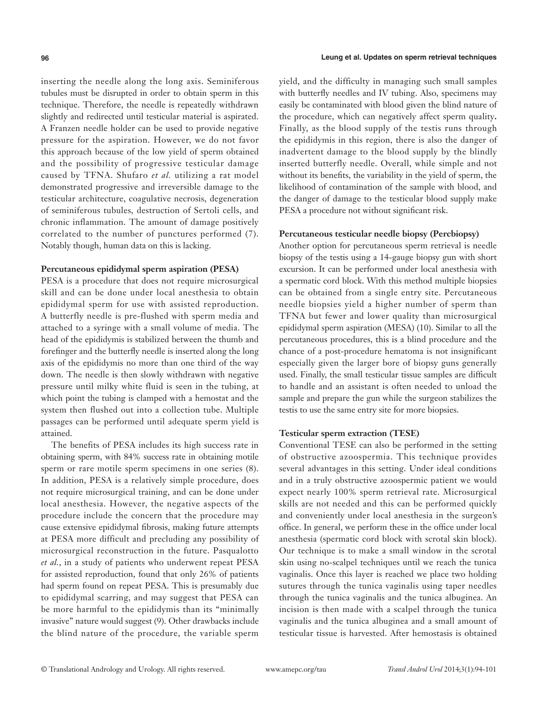inserting the needle along the long axis. Seminiferous tubules must be disrupted in order to obtain sperm in this technique. Therefore, the needle is repeatedly withdrawn slightly and redirected until testicular material is aspirated. A Franzen needle holder can be used to provide negative pressure for the aspiration. However, we do not favor this approach because of the low yield of sperm obtained and the possibility of progressive testicular damage caused by TFNA. Shufaro *et al.* utilizing a rat model demonstrated progressive and irreversible damage to the testicular architecture, coagulative necrosis, degeneration of seminiferous tubules, destruction of Sertoli cells, and chronic inflammation. The amount of damage positively correlated to the number of punctures performed (7). Notably though, human data on this is lacking.

#### **Percutaneous epididymal sperm aspiration (PESA)**

PESA is a procedure that does not require microsurgical skill and can be done under local anesthesia to obtain epididymal sperm for use with assisted reproduction. A butterfly needle is pre-flushed with sperm media and attached to a syringe with a small volume of media. The head of the epididymis is stabilized between the thumb and forefinger and the butterfly needle is inserted along the long axis of the epididymis no more than one third of the way down. The needle is then slowly withdrawn with negative pressure until milky white fluid is seen in the tubing, at which point the tubing is clamped with a hemostat and the system then flushed out into a collection tube. Multiple passages can be performed until adequate sperm yield is attained.

The benefits of PESA includes its high success rate in obtaining sperm, with 84% success rate in obtaining motile sperm or rare motile sperm specimens in one series (8). In addition, PESA is a relatively simple procedure, does not require microsurgical training, and can be done under local anesthesia. However, the negative aspects of the procedure include the concern that the procedure may cause extensive epididymal fibrosis, making future attempts at PESA more difficult and precluding any possibility of microsurgical reconstruction in the future. Pasqualotto *et al.*, in a study of patients who underwent repeat PESA for assisted reproduction, found that only 26% of patients had sperm found on repeat PESA. This is presumably due to epididymal scarring, and may suggest that PESA can be more harmful to the epididymis than its "minimally invasive" nature would suggest (9). Other drawbacks include the blind nature of the procedure, the variable sperm yield, and the difficulty in managing such small samples with butterfly needles and IV tubing. Also, specimens may easily be contaminated with blood given the blind nature of the procedure, which can negatively affect sperm quality**.**  Finally, as the blood supply of the testis runs through the epididymis in this region, there is also the danger of inadvertent damage to the blood supply by the blindly inserted butterfly needle. Overall, while simple and not without its benefits, the variability in the yield of sperm, the likelihood of contamination of the sample with blood, and the danger of damage to the testicular blood supply make PESA a procedure not without significant risk.

#### **Percutaneous testicular needle biopsy (Percbiopsy)**

Another option for percutaneous sperm retrieval is needle biopsy of the testis using a 14-gauge biopsy gun with short excursion. It can be performed under local anesthesia with a spermatic cord block. With this method multiple biopsies can be obtained from a single entry site. Percutaneous needle biopsies yield a higher number of sperm than TFNA but fewer and lower quality than microsurgical epididymal sperm aspiration (MESA) (10). Similar to all the percutaneous procedures, this is a blind procedure and the chance of a post-procedure hematoma is not insignificant especially given the larger bore of biopsy guns generally used. Finally, the small testicular tissue samples are difficult to handle and an assistant is often needed to unload the sample and prepare the gun while the surgeon stabilizes the testis to use the same entry site for more biopsies.

#### **Testicular sperm extraction (TESE)**

Conventional TESE can also be performed in the setting of obstructive azoospermia. This technique provides several advantages in this setting. Under ideal conditions and in a truly obstructive azoospermic patient we would expect nearly 100% sperm retrieval rate. Microsurgical skills are not needed and this can be performed quickly and conveniently under local anesthesia in the surgeon's office. In general, we perform these in the office under local anesthesia (spermatic cord block with scrotal skin block). Our technique is to make a small window in the scrotal skin using no-scalpel techniques until we reach the tunica vaginalis. Once this layer is reached we place two holding sutures through the tunica vaginalis using taper needles through the tunica vaginalis and the tunica albuginea. An incision is then made with a scalpel through the tunica vaginalis and the tunica albuginea and a small amount of testicular tissue is harvested. After hemostasis is obtained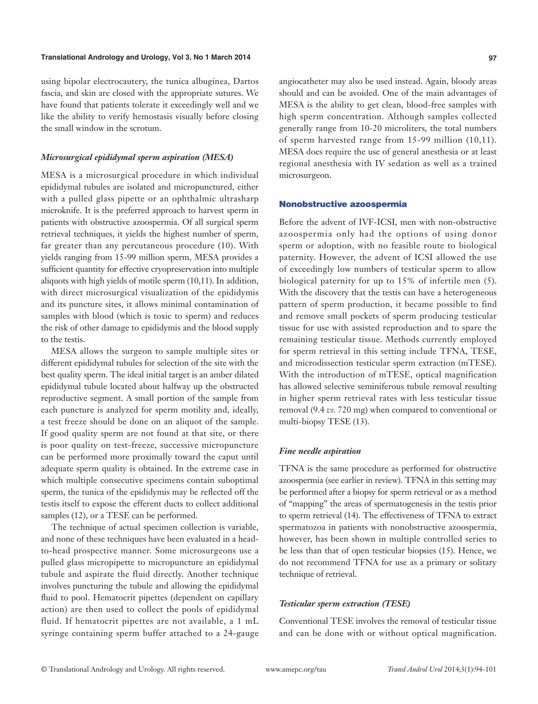using bipolar electrocautery, the tunica albuginea, Dartos fascia, and skin are closed with the appropriate sutures. We have found that patients tolerate it exceedingly well and we like the ability to verify hemostasis visually before closing the small window in the scrotum.

#### *Microsurgical epididymal sperm aspiration (MESA)*

MESA is a microsurgical procedure in which individual epididymal tubules are isolated and micropunctured, either with a pulled glass pipette or an ophthalmic ultrasharp microknife. It is the preferred approach to harvest sperm in patients with obstructive azoospermia. Of all surgical sperm retrieval techniques, it yields the highest number of sperm, far greater than any percutaneous procedure (10). With yields ranging from 15-99 million sperm, MESA provides a sufficient quantity for effective cryopreservation into multiple aliquots with high yields of motile sperm (10,11). In addition, with direct microsurgical visualization of the epididymis and its puncture sites, it allows minimal contamination of samples with blood (which is toxic to sperm) and reduces the risk of other damage to epididymis and the blood supply to the testis.

MESA allows the surgeon to sample multiple sites or different epididymal tubules for selection of the site with the best quality sperm. The ideal initial target is an amber dilated epididymal tubule located about halfway up the obstructed reproductive segment. A small portion of the sample from each puncture is analyzed for sperm motility and, ideally, a test freeze should be done on an aliquot of the sample. If good quality sperm are not found at that site, or there is poor quality on test-freeze, successive micropuncture can be performed more proximally toward the caput until adequate sperm quality is obtained. In the extreme case in which multiple consecutive specimens contain suboptimal sperm, the tunica of the epididymis may be reflected off the testis itself to expose the efferent ducts to collect additional samples (12), or a TESE can be performed.

The technique of actual specimen collection is variable, and none of these techniques have been evaluated in a headto-head prospective manner. Some microsurgeons use a pulled glass micropipette to micropuncture an epididymal tubule and aspirate the fluid directly. Another technique involves puncturing the tubule and allowing the epididymal fluid to pool. Hematocrit pipettes (dependent on capillary action) are then used to collect the pools of epididymal fluid. If hematocrit pipettes are not available, a 1 mL syringe containing sperm buffer attached to a 24-gauge angiocatheter may also be used instead. Again, bloody areas should and can be avoided. One of the main advantages of MESA is the ability to get clean, blood-free samples with high sperm concentration. Although samples collected generally range from 10-20 microliters, the total numbers of sperm harvested range from 15-99 million (10,11). MESA does require the use of general anesthesia or at least regional anesthesia with IV sedation as well as a trained microsurgeon.

#### Nonobstructive azoospermia

Before the advent of IVF-ICSI, men with non-obstructive azoospermia only had the options of using donor sperm or adoption, with no feasible route to biological paternity. However, the advent of ICSI allowed the use of exceedingly low numbers of testicular sperm to allow biological paternity for up to 15% of infertile men (5). With the discovery that the testis can have a heterogeneous pattern of sperm production, it became possible to find and remove small pockets of sperm producing testicular tissue for use with assisted reproduction and to spare the remaining testicular tissue. Methods currently employed for sperm retrieval in this setting include TFNA, TESE, and microdissection testicular sperm extraction (mTESE). With the introduction of mTESE, optical magnification has allowed selective seminiferous tubule removal resulting in higher sperm retrieval rates with less testicular tissue removal (9.4 *vs.* 720 mg) when compared to conventional or multi-biopsy TESE (13).

#### *Fine needle aspiration*

TFNA is the same procedure as performed for obstructive azoospermia (see earlier in review). TFNA in this setting may be performed after a biopsy for sperm retrieval or as a method of "mapping" the areas of spermatogenesis in the testis prior to sperm retrieval (14). The effectiveness of TFNA to extract spermatozoa in patients with nonobstructive azoospermia, however, has been shown in multiple controlled series to be less than that of open testicular biopsies (15). Hence, we do not recommend TFNA for use as a primary or solitary technique of retrieval.

#### *Testicular sperm extraction (TESE)*

Conventional TESE involves the removal of testicular tissue and can be done with or without optical magnification.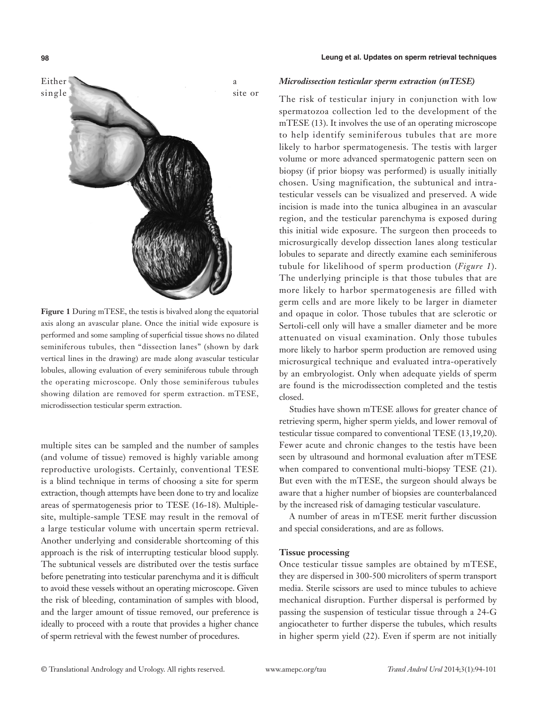

**Figure 1** During mTESE, the testis is bivalved along the equatorial axis along an avascular plane. Once the initial wide exposure is performed and some sampling of superficial tissue shows no dilated seminiferous tubules, then "dissection lanes" (shown by dark vertical lines in the drawing) are made along avascular testicular lobules, allowing evaluation of every seminiferous tubule through the operating microscope. Only those seminiferous tubules showing dilation are removed for sperm extraction. mTESE, microdissection testicular sperm extraction.

multiple sites can be sampled and the number of samples (and volume of tissue) removed is highly variable among reproductive urologists. Certainly, conventional TESE is a blind technique in terms of choosing a site for sperm extraction, though attempts have been done to try and localize areas of spermatogenesis prior to TESE (16-18). Multiplesite, multiple-sample TESE may result in the removal of a large testicular volume with uncertain sperm retrieval. Another underlying and considerable shortcoming of this approach is the risk of interrupting testicular blood supply. The subtunical vessels are distributed over the testis surface before penetrating into testicular parenchyma and it is difficult to avoid these vessels without an operating microscope. Given the risk of bleeding, contamination of samples with blood, and the larger amount of tissue removed, our preference is ideally to proceed with a route that provides a higher chance of sperm retrieval with the fewest number of procedures.

#### **98 Leung et al. Updates on sperm retrieval techniques**

#### *Microdissection testicular sperm extraction (mTESE)*

The risk of testicular injury in conjunction with low spermatozoa collection led to the development of the mTESE (13). It involves the use of an operating microscope to help identify seminiferous tubules that are more likely to harbor spermatogenesis. The testis with larger volume or more advanced spermatogenic pattern seen on biopsy (if prior biopsy was performed) is usually initially chosen. Using magnification, the subtunical and intratesticular vessels can be visualized and preserved. A wide incision is made into the tunica albuginea in an avascular region, and the testicular parenchyma is exposed during this initial wide exposure. The surgeon then proceeds to microsurgically develop dissection lanes along testicular lobules to separate and directly examine each seminiferous tubule for likelihood of sperm production (*Figure 1*). The underlying principle is that those tubules that are more likely to harbor spermatogenesis are filled with germ cells and are more likely to be larger in diameter and opaque in color. Those tubules that are sclerotic or Sertoli-cell only will have a smaller diameter and be more attenuated on visual examination. Only those tubules more likely to harbor sperm production are removed using microsurgical technique and evaluated intra-operatively by an embryologist. Only when adequate yields of sperm are found is the microdissection completed and the testis closed.

Studies have shown mTESE allows for greater chance of retrieving sperm, higher sperm yields, and lower removal of testicular tissue compared to conventional TESE (13,19,20). Fewer acute and chronic changes to the testis have been seen by ultrasound and hormonal evaluation after mTESE when compared to conventional multi-biopsy TESE (21). But even with the mTESE, the surgeon should always be aware that a higher number of biopsies are counterbalanced by the increased risk of damaging testicular vasculature.

A number of areas in mTESE merit further discussion and special considerations, and are as follows.

#### **Tissue processing**

Once testicular tissue samples are obtained by mTESE, they are dispersed in 300-500 microliters of sperm transport media. Sterile scissors are used to mince tubules to achieve mechanical disruption. Further dispersal is performed by passing the suspension of testicular tissue through a 24-G angiocatheter to further disperse the tubules, which results in higher sperm yield (22). Even if sperm are not initially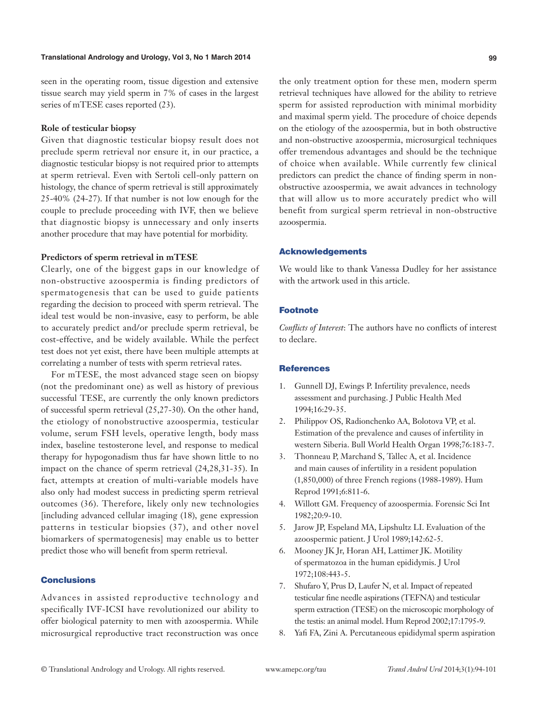seen in the operating room, tissue digestion and extensive tissue search may yield sperm in 7% of cases in the largest series of mTESE cases reported (23).

#### **Role of testicular biopsy**

Given that diagnostic testicular biopsy result does not preclude sperm retrieval nor ensure it, in our practice, a diagnostic testicular biopsy is not required prior to attempts at sperm retrieval. Even with Sertoli cell-only pattern on histology, the chance of sperm retrieval is still approximately 25-40% (24-27). If that number is not low enough for the couple to preclude proceeding with IVF, then we believe that diagnostic biopsy is unnecessary and only inserts another procedure that may have potential for morbidity.

# **Predictors of sperm retrieval in mTESE**

Clearly, one of the biggest gaps in our knowledge of non-obstructive azoospermia is finding predictors of spermatogenesis that can be used to guide patients regarding the decision to proceed with sperm retrieval. The ideal test would be non-invasive, easy to perform, be able to accurately predict and/or preclude sperm retrieval, be cost-effective, and be widely available. While the perfect test does not yet exist, there have been multiple attempts at correlating a number of tests with sperm retrieval rates.

For mTESE, the most advanced stage seen on biopsy (not the predominant one) as well as history of previous successful TESE, are currently the only known predictors of successful sperm retrieval (25,27-30). On the other hand, the etiology of nonobstructive azoospermia, testicular volume, serum FSH levels, operative length, body mass index, baseline testosterone level, and response to medical therapy for hypogonadism thus far have shown little to no impact on the chance of sperm retrieval (24,28,31-35). In fact, attempts at creation of multi-variable models have also only had modest success in predicting sperm retrieval outcomes (36). Therefore, likely only new technologies [including advanced cellular imaging (18), gene expression patterns in testicular biopsies (37), and other novel biomarkers of spermatogenesis] may enable us to better predict those who will benefit from sperm retrieval.

### Conclusions

Advances in assisted reproductive technology and specifically IVF-ICSI have revolutionized our ability to offer biological paternity to men with azoospermia. While microsurgical reproductive tract reconstruction was once

the only treatment option for these men, modern sperm retrieval techniques have allowed for the ability to retrieve sperm for assisted reproduction with minimal morbidity and maximal sperm yield. The procedure of choice depends on the etiology of the azoospermia, but in both obstructive and non-obstructive azoospermia, microsurgical techniques offer tremendous advantages and should be the technique of choice when available. While currently few clinical predictors can predict the chance of finding sperm in nonobstructive azoospermia, we await advances in technology that will allow us to more accurately predict who will benefit from surgical sperm retrieval in non-obstructive azoospermia.

#### Acknowledgements

We would like to thank Vanessa Dudley for her assistance with the artwork used in this article.

# Footnote

*Conflicts of Interest*: The authors have no conflicts of interest to declare.

#### **References**

- 1. Gunnell DJ, Ewings P. Infertility prevalence, needs assessment and purchasing. J Public Health Med 1994;16:29-35.
- 2. Philippov OS, Radionchenko AA, Bolotova VP, et al. Estimation of the prevalence and causes of infertility in western Siberia. Bull World Health Organ 1998;76:183-7.
- 3. Thonneau P, Marchand S, Tallec A, et al. Incidence and main causes of infertility in a resident population (1,850,000) of three French regions (1988-1989). Hum Reprod 1991;6:811-6.
- 4. Willott GM. Frequency of azoospermia. Forensic Sci Int 1982;20:9-10.
- 5. Jarow JP, Espeland MA, Lipshultz LI. Evaluation of the azoospermic patient. J Urol 1989;142:62-5.
- 6. Mooney JK Jr, Horan AH, Lattimer JK. Motility of spermatozoa in the human epididymis. J Urol 1972;108:443-5.
- 7. Shufaro Y, Prus D, Laufer N, et al. Impact of repeated testicular fine needle aspirations (TEFNA) and testicular sperm extraction (TESE) on the microscopic morphology of the testis: an animal model. Hum Reprod 2002;17:1795-9.
- 8. Yafi FA, Zini A. Percutaneous epididymal sperm aspiration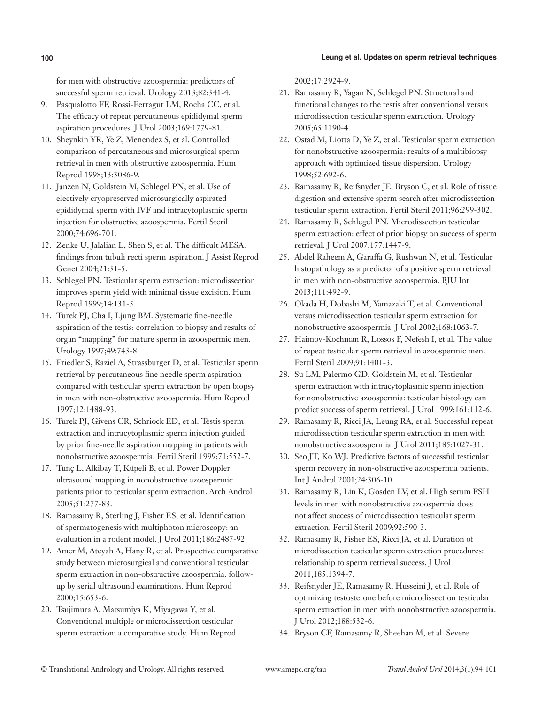for men with obstructive azoospermia: predictors of successful sperm retrieval. Urology 2013;82:341-4.

- 9. Pasqualotto FF, Rossi-Ferragut LM, Rocha CC, et al. The efficacy of repeat percutaneous epididymal sperm aspiration procedures. J Urol 2003;169:1779-81.
- 10. Sheynkin YR, Ye Z, Menendez S, et al. Controlled comparison of percutaneous and microsurgical sperm retrieval in men with obstructive azoospermia. Hum Reprod 1998;13:3086-9.
- 11. Janzen N, Goldstein M, Schlegel PN, et al. Use of electively cryopreserved microsurgically aspirated epididymal sperm with IVF and intracytoplasmic sperm injection for obstructive azoospermia. Fertil Steril 2000;74:696-701.
- 12. Zenke U, Jalalian L, Shen S, et al. The difficult MESA: findings from tubuli recti sperm aspiration. J Assist Reprod Genet 2004;21:31-5.
- 13. Schlegel PN. Testicular sperm extraction: microdissection improves sperm yield with minimal tissue excision. Hum Reprod 1999;14:131-5.
- 14. Turek PJ, Cha I, Ljung BM. Systematic fine-needle aspiration of the testis: correlation to biopsy and results of organ "mapping" for mature sperm in azoospermic men. Urology 1997;49:743-8.
- 15. Friedler S, Raziel A, Strassburger D, et al. Testicular sperm retrieval by percutaneous fine needle sperm aspiration compared with testicular sperm extraction by open biopsy in men with non-obstructive azoospermia. Hum Reprod 1997;12:1488-93.
- 16. Turek PJ, Givens CR, Schriock ED, et al. Testis sperm extraction and intracytoplasmic sperm injection guided by prior fine-needle aspiration mapping in patients with nonobstructive azoospermia. Fertil Steril 1999;71:552-7.
- 17. Tunç L, Alkibay T, Küpeli B, et al. Power Doppler ultrasound mapping in nonobstructive azoospermic patients prior to testicular sperm extraction. Arch Androl 2005;51:277-83.
- 18. Ramasamy R, Sterling J, Fisher ES, et al. Identification of spermatogenesis with multiphoton microscopy: an evaluation in a rodent model. J Urol 2011;186:2487-92.
- 19. Amer M, Ateyah A, Hany R, et al. Prospective comparative study between microsurgical and conventional testicular sperm extraction in non-obstructive azoospermia: followup by serial ultrasound examinations. Hum Reprod 2000;15:653-6.
- 20. Tsujimura A, Matsumiya K, Miyagawa Y, et al. Conventional multiple or microdissection testicular sperm extraction: a comparative study. Hum Reprod

2002;17:2924-9.

- 21. Ramasamy R, Yagan N, Schlegel PN. Structural and functional changes to the testis after conventional versus microdissection testicular sperm extraction. Urology 2005;65:1190-4.
- 22. Ostad M, Liotta D, Ye Z, et al. Testicular sperm extraction for nonobstructive azoospermia: results of a multibiopsy approach with optimized tissue dispersion. Urology 1998;52:692-6.
- 23. Ramasamy R, Reifsnyder JE, Bryson C, et al. Role of tissue digestion and extensive sperm search after microdissection testicular sperm extraction. Fertil Steril 2011;96:299-302.
- 24. Ramasamy R, Schlegel PN. Microdissection testicular sperm extraction: effect of prior biopsy on success of sperm retrieval. J Urol 2007;177:1447-9.
- 25. Abdel Raheem A, Garaffa G, Rushwan N, et al. Testicular histopathology as a predictor of a positive sperm retrieval in men with non-obstructive azoospermia. BJU Int 2013;111:492-9.
- 26. Okada H, Dobashi M, Yamazaki T, et al. Conventional versus microdissection testicular sperm extraction for nonobstructive azoospermia. J Urol 2002;168:1063-7.
- 27. Haimov-Kochman R, Lossos F, Nefesh I, et al. The value of repeat testicular sperm retrieval in azoospermic men. Fertil Steril 2009;91:1401-3.
- 28. Su LM, Palermo GD, Goldstein M, et al. Testicular sperm extraction with intracytoplasmic sperm injection for nonobstructive azoospermia: testicular histology can predict success of sperm retrieval. J Urol 1999;161:112-6.
- 29. Ramasamy R, Ricci JA, Leung RA, et al. Successful repeat microdissection testicular sperm extraction in men with nonobstructive azoospermia. J Urol 2011;185:1027-31.
- 30. Seo JT, Ko WJ. Predictive factors of successful testicular sperm recovery in non-obstructive azoospermia patients. Int J Androl 2001;24:306-10.
- 31. Ramasamy R, Lin K, Gosden LV, et al. High serum FSH levels in men with nonobstructive azoospermia does not affect success of microdissection testicular sperm extraction. Fertil Steril 2009;92:590-3.
- 32. Ramasamy R, Fisher ES, Ricci JA, et al. Duration of microdissection testicular sperm extraction procedures: relationship to sperm retrieval success. J Urol 2011;185:1394-7.
- 33. Reifsnyder JE, Ramasamy R, Husseini J, et al. Role of optimizing testosterone before microdissection testicular sperm extraction in men with nonobstructive azoospermia. J Urol 2012;188:532-6.
- 34. Bryson CF, Ramasamy R, Sheehan M, et al. Severe